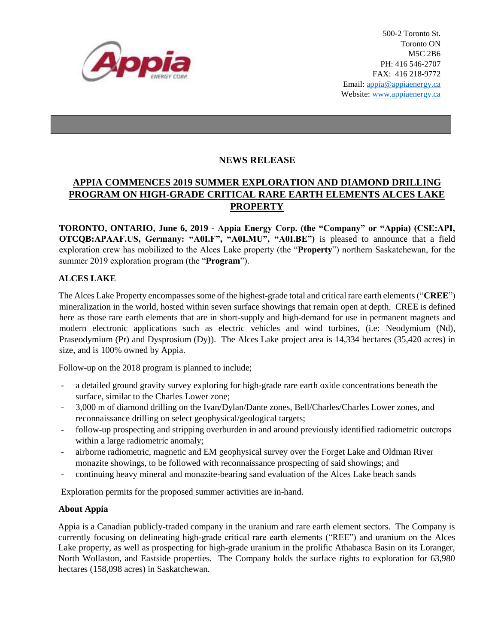

## **NEWS RELEASE**

## **APPIA COMMENCES 2019 SUMMER EXPLORATION AND DIAMOND DRILLING PROGRAM ON HIGH-GRADE CRITICAL RARE EARTH ELEMENTS ALCES LAKE PROPERTY**

**TORONTO, ONTARIO, June 6, 2019 - Appia Energy Corp. (the "Company" or "Appia) (CSE:API, OTCQB:APAAF.US, Germany: "A0I.F", "A0I.MU", "A0I.BE")** is pleased to announce that a field exploration crew has mobilized to the Alces Lake property (the "**Property**") northern Saskatchewan, for the summer 2019 exploration program (the "**Program**").

## **ALCES LAKE**

The Alces Lake Property encompasses some of the highest-grade total and critical rare earth elements("**CREE**") mineralization in the world, hosted within seven surface showings that remain open at depth. CREE is defined here as those rare earth elements that are in short-supply and high-demand for use in permanent magnets and modern electronic applications such as electric vehicles and wind turbines, (i.e: Neodymium (Nd), Praseodymium (Pr) and Dysprosium (Dy)). The Alces Lake project area is 14,334 hectares (35,420 acres) in size, and is 100% owned by Appia.

Follow-up on the 2018 program is planned to include;

- a detailed ground gravity survey exploring for high-grade rare earth oxide concentrations beneath the surface, similar to the Charles Lower zone;
- 3,000 m of diamond drilling on the Ivan/Dylan/Dante zones, Bell/Charles/Charles Lower zones, and reconnaissance drilling on select geophysical/geological targets;
- follow-up prospecting and stripping overburden in and around previously identified radiometric outcrops within a large radiometric anomaly;
- airborne radiometric, magnetic and EM geophysical survey over the Forget Lake and Oldman River monazite showings, to be followed with reconnaissance prospecting of said showings; and
- continuing heavy mineral and monazite-bearing sand evaluation of the Alces Lake beach sands

Exploration permits for the proposed summer activities are in-hand.

## **About Appia**

Appia is a Canadian publicly-traded company in the uranium and rare earth element sectors. The Company is currently focusing on delineating high-grade critical rare earth elements ("REE") and uranium on the Alces Lake property, as well as prospecting for high-grade uranium in the prolific Athabasca Basin on its Loranger, North Wollaston, and Eastside properties. The Company holds the surface rights to exploration for 63,980 hectares (158,098 acres) in Saskatchewan.